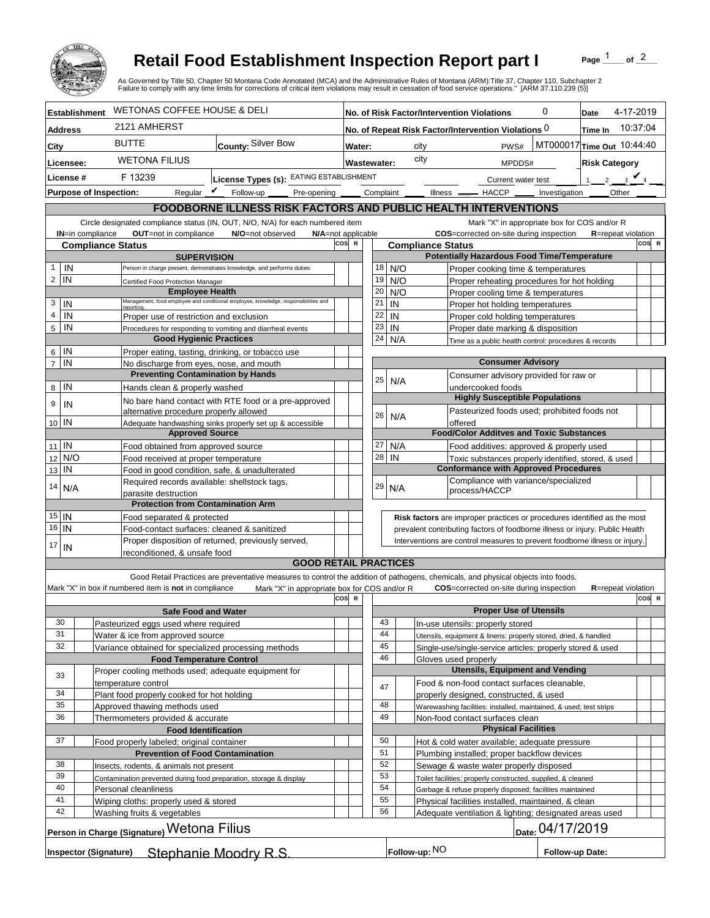

## **Retail Food Establishment Inspection Report part I**

Page  $\frac{1}{1}$  of  $\frac{2}{1}$ 

|                                                                                          |                                                                                               | <b>Retail Food Establishment Inspection Report part I</b><br>As Governed by Title 50, Chapter 50 Montana Code Annotated (MCA) and the Administrative Rules of Montana (ARM):Title 37, Chapter 110, Subchapter 2<br>Failure to comply with any time limits for corrections of critical item violations may result in cessation of food service operations." [ARM 37.110.239 (5)] |                                                                            |          |                                                                    |                                                                                                                                                            |                            |                        | Page                                         | of $^2$ |  |
|------------------------------------------------------------------------------------------|-----------------------------------------------------------------------------------------------|---------------------------------------------------------------------------------------------------------------------------------------------------------------------------------------------------------------------------------------------------------------------------------------------------------------------------------------------------------------------------------|----------------------------------------------------------------------------|----------|--------------------------------------------------------------------|------------------------------------------------------------------------------------------------------------------------------------------------------------|----------------------------|------------------------|----------------------------------------------|---------|--|
| <b>Establishment</b>                                                                     | <b>WETONAS COFFEE HOUSE &amp; DELI</b>                                                        |                                                                                                                                                                                                                                                                                                                                                                                 | No. of Risk Factor/Intervention Violations                                 |          |                                                                    |                                                                                                                                                            |                            | 0<br>4-17-2019<br>Date |                                              |         |  |
| <b>Address</b>                                                                           | 2121 AMHERST                                                                                  |                                                                                                                                                                                                                                                                                                                                                                                 | 10:37:04<br>No. of Repeat Risk Factor/Intervention Violations 0<br>Time In |          |                                                                    |                                                                                                                                                            |                            |                        |                                              |         |  |
| City                                                                                     | <b>BUTTE</b><br>County: Silver Bow                                                            |                                                                                                                                                                                                                                                                                                                                                                                 | MT000017 Time Out 10:44:40<br>PWS#<br>Water:<br>city                       |          |                                                                    |                                                                                                                                                            |                            |                        |                                              |         |  |
| Licensee:                                                                                | <b>WETONA FILIUS</b>                                                                          |                                                                                                                                                                                                                                                                                                                                                                                 | city<br><b>Wastewater:</b><br><b>Risk Category</b><br>MPDDS#               |          |                                                                    |                                                                                                                                                            |                            |                        |                                              |         |  |
| License #                                                                                | F 13239                                                                                       | License Types (s): EATING ESTABLISHMENT                                                                                                                                                                                                                                                                                                                                         |                                                                            |          |                                                                    |                                                                                                                                                            | Current water test         |                        | 1 2 3 $\sqrt{4}$                             |         |  |
| <b>Purpose of Inspection:</b>                                                            | Reqular $\boldsymbol{V}$                                                                      | Follow-up ___<br>Pre-opening _______ Complaint ______                                                                                                                                                                                                                                                                                                                           |                                                                            |          |                                                                    | Illness __ HACCP __ Investigation _                                                                                                                        |                            |                        | <b>Other</b>                                 |         |  |
|                                                                                          |                                                                                               | FOODBORNE ILLNESS RISK FACTORS AND PUBLIC HEALTH INTERVENTIONS                                                                                                                                                                                                                                                                                                                  |                                                                            |          |                                                                    |                                                                                                                                                            |                            |                        |                                              |         |  |
|                                                                                          |                                                                                               | Circle designated compliance status (IN, OUT, N/O, N/A) for each numbered item                                                                                                                                                                                                                                                                                                  |                                                                            |          |                                                                    |                                                                                                                                                            |                            |                        | Mark "X" in appropriate box for COS and/or R |         |  |
| <b>IN=in compliance</b>                                                                  | OUT=not in compliance                                                                         | N/O=not observed<br>N/A=not applicable                                                                                                                                                                                                                                                                                                                                          |                                                                            |          |                                                                    | COS=corrected on-site during inspection                                                                                                                    |                            |                        | <b>R</b> =repeat violation                   |         |  |
| <b>Compliance Status</b>                                                                 |                                                                                               |                                                                                                                                                                                                                                                                                                                                                                                 | COS R                                                                      |          |                                                                    | <b>Compliance Status</b>                                                                                                                                   |                            |                        |                                              | COS R   |  |
| IN<br>1                                                                                  | <b>SUPERVISION</b>                                                                            | Person in charge present, demonstrates knowledge, and performs duties                                                                                                                                                                                                                                                                                                           |                                                                            | 18       | N/O                                                                | <b>Potentially Hazardous Food Time/Temperature</b><br>Proper cooking time & temperatures                                                                   |                            |                        |                                              |         |  |
| $\overline{c}$<br>IN                                                                     | Certified Food Protection Manager                                                             |                                                                                                                                                                                                                                                                                                                                                                                 |                                                                            | 19       | N/O                                                                | Proper reheating procedures for hot holding                                                                                                                |                            |                        |                                              |         |  |
|                                                                                          | <b>Employee Health</b>                                                                        |                                                                                                                                                                                                                                                                                                                                                                                 |                                                                            | 20       | N/O                                                                | Proper cooling time & temperatures                                                                                                                         |                            |                        |                                              |         |  |
| 3<br>IN                                                                                  | reporting                                                                                     | Management, food employee and conditional employee, knowledge, responsibiliites and                                                                                                                                                                                                                                                                                             |                                                                            | 21       | IN                                                                 | Proper hot holding temperatures                                                                                                                            |                            |                        |                                              |         |  |
| 4<br>IN                                                                                  | Proper use of restriction and exclusion                                                       |                                                                                                                                                                                                                                                                                                                                                                                 |                                                                            | 22<br>23 | IN                                                                 | Proper cold holding temperatures                                                                                                                           |                            |                        |                                              |         |  |
| IN<br>5                                                                                  | <b>Good Hygienic Practices</b>                                                                | Procedures for responding to vomiting and diarrheal events                                                                                                                                                                                                                                                                                                                      |                                                                            | 24       | IN<br>N/A                                                          | Proper date marking & disposition<br>Time as a public health control: procedures & records                                                                 |                            |                        |                                              |         |  |
| IN<br>6                                                                                  | Proper eating, tasting, drinking, or tobacco use                                              |                                                                                                                                                                                                                                                                                                                                                                                 |                                                                            |          |                                                                    |                                                                                                                                                            |                            |                        |                                              |         |  |
| IN<br>$\overline{7}$                                                                     | No discharge from eyes, nose, and mouth                                                       |                                                                                                                                                                                                                                                                                                                                                                                 |                                                                            |          |                                                                    | <b>Consumer Advisory</b>                                                                                                                                   |                            |                        |                                              |         |  |
|                                                                                          | <b>Preventing Contamination by Hands</b>                                                      |                                                                                                                                                                                                                                                                                                                                                                                 |                                                                            | 25       | N/A                                                                | Consumer advisory provided for raw or                                                                                                                      |                            |                        |                                              |         |  |
| IN<br>8                                                                                  | Hands clean & properly washed                                                                 |                                                                                                                                                                                                                                                                                                                                                                                 |                                                                            |          |                                                                    | undercooked foods<br><b>Highly Susceptible Populations</b>                                                                                                 |                            |                        |                                              |         |  |
| 9<br>IN                                                                                  | alternative procedure properly allowed                                                        | No bare hand contact with RTE food or a pre-approved                                                                                                                                                                                                                                                                                                                            |                                                                            |          |                                                                    | Pasteurized foods used; prohibited foods not                                                                                                               |                            |                        |                                              |         |  |
| 10 IN                                                                                    |                                                                                               | Adequate handwashing sinks properly set up & accessible                                                                                                                                                                                                                                                                                                                         |                                                                            | 26       | N/A                                                                | offered                                                                                                                                                    |                            |                        |                                              |         |  |
|                                                                                          | <b>Approved Source</b>                                                                        |                                                                                                                                                                                                                                                                                                                                                                                 |                                                                            |          |                                                                    | <b>Food/Color Additves and Toxic Substances</b>                                                                                                            |                            |                        |                                              |         |  |
| $\mathsf{IN}$<br>11                                                                      | Food obtained from approved source                                                            |                                                                                                                                                                                                                                                                                                                                                                                 |                                                                            | 27       | N/A                                                                | Food additives: approved & properly used                                                                                                                   |                            |                        |                                              |         |  |
| N/O<br>12<br>IN                                                                          | Food received at proper temperature                                                           |                                                                                                                                                                                                                                                                                                                                                                                 |                                                                            | 28       | IN                                                                 | Toxic substances properly identified, stored, & used<br><b>Conformance with Approved Procedures</b>                                                        |                            |                        |                                              |         |  |
| 13                                                                                       | Food in good condition, safe, & unadulterated<br>Required records available: shellstock tags, |                                                                                                                                                                                                                                                                                                                                                                                 |                                                                            |          |                                                                    | Compliance with variance/specialized                                                                                                                       |                            |                        |                                              |         |  |
| 14<br>N/A                                                                                | parasite destruction                                                                          |                                                                                                                                                                                                                                                                                                                                                                                 |                                                                            | 29       | N/A                                                                | process/HACCP                                                                                                                                              |                            |                        |                                              |         |  |
|                                                                                          | <b>Protection from Contamination Arm</b>                                                      |                                                                                                                                                                                                                                                                                                                                                                                 |                                                                            |          |                                                                    |                                                                                                                                                            |                            |                        |                                              |         |  |
| $15$ IN                                                                                  | Food separated & protected                                                                    |                                                                                                                                                                                                                                                                                                                                                                                 |                                                                            |          |                                                                    | Risk factors are improper practices or procedures identified as the most                                                                                   |                            |                        |                                              |         |  |
| 16<br>IN                                                                                 | Food-contact surfaces: cleaned & sanitized                                                    | Proper disposition of returned, previously served,                                                                                                                                                                                                                                                                                                                              |                                                                            |          |                                                                    | prevalent contributing factors of foodborne illness or injury. Public Health<br>Interventions are control measures to prevent foodborne illness or injury. |                            |                        |                                              |         |  |
| 17<br>IN                                                                                 | reconditioned, & unsafe food                                                                  |                                                                                                                                                                                                                                                                                                                                                                                 |                                                                            |          |                                                                    |                                                                                                                                                            |                            |                        |                                              |         |  |
|                                                                                          |                                                                                               | <b>GOOD RETAIL PRACTICES</b>                                                                                                                                                                                                                                                                                                                                                    |                                                                            |          |                                                                    |                                                                                                                                                            |                            |                        |                                              |         |  |
|                                                                                          |                                                                                               | Good Retail Practices are preventative measures to control the addition of pathogens, chemicals, and physical objects into foods.                                                                                                                                                                                                                                               |                                                                            |          |                                                                    |                                                                                                                                                            |                            |                        |                                              |         |  |
|                                                                                          | Mark "X" in box if numbered item is not in compliance                                         | Mark "X" in appropriate box for COS and/or R                                                                                                                                                                                                                                                                                                                                    | COS R                                                                      |          |                                                                    | <b>COS</b> =corrected on-site during inspection                                                                                                            |                            |                        | <b>R</b> =repeat violation                   | COS R   |  |
|                                                                                          | <b>Safe Food and Water</b>                                                                    |                                                                                                                                                                                                                                                                                                                                                                                 |                                                                            |          |                                                                    | <b>Proper Use of Utensils</b>                                                                                                                              |                            |                        |                                              |         |  |
| 30                                                                                       | Pasteurized eggs used where required                                                          |                                                                                                                                                                                                                                                                                                                                                                                 |                                                                            | 43       |                                                                    | In-use utensils: properly stored                                                                                                                           |                            |                        |                                              |         |  |
| 31                                                                                       | Water & ice from approved source                                                              |                                                                                                                                                                                                                                                                                                                                                                                 |                                                                            | 44       |                                                                    | Utensils, equipment & linens: properly stored, dried, & handled                                                                                            |                            |                        |                                              |         |  |
| 32                                                                                       | Variance obtained for specialized processing methods                                          |                                                                                                                                                                                                                                                                                                                                                                                 |                                                                            | 45       |                                                                    | Single-use/single-service articles: properly stored & used                                                                                                 |                            |                        |                                              |         |  |
|                                                                                          | <b>Food Temperature Control</b><br>Proper cooling methods used; adequate equipment for        |                                                                                                                                                                                                                                                                                                                                                                                 |                                                                            | 46       |                                                                    | Gloves used properly<br><b>Utensils, Equipment and Vending</b>                                                                                             |                            |                        |                                              |         |  |
| 33                                                                                       | temperature control                                                                           |                                                                                                                                                                                                                                                                                                                                                                                 |                                                                            |          |                                                                    | Food & non-food contact surfaces cleanable,                                                                                                                |                            |                        |                                              |         |  |
| 34                                                                                       | Plant food properly cooked for hot holding                                                    |                                                                                                                                                                                                                                                                                                                                                                                 |                                                                            | 47       |                                                                    | properly designed, constructed, & used                                                                                                                     |                            |                        |                                              |         |  |
| 35<br>Approved thawing methods used                                                      |                                                                                               |                                                                                                                                                                                                                                                                                                                                                                                 | 48                                                                         |          | Warewashing facilities: installed, maintained, & used; test strips |                                                                                                                                                            |                            |                        |                                              |         |  |
| 36<br>Thermometers provided & accurate                                                   |                                                                                               |                                                                                                                                                                                                                                                                                                                                                                                 | 49                                                                         |          | Non-food contact surfaces clean                                    |                                                                                                                                                            |                            |                        |                                              |         |  |
| 37                                                                                       | <b>Food Identification</b>                                                                    |                                                                                                                                                                                                                                                                                                                                                                                 |                                                                            | 50       |                                                                    |                                                                                                                                                            | <b>Physical Facilities</b> |                        |                                              |         |  |
|                                                                                          | Food properly labeled; original container                                                     |                                                                                                                                                                                                                                                                                                                                                                                 |                                                                            | 51       |                                                                    | Hot & cold water available; adequate pressure<br>Plumbing installed; proper backflow devices                                                               |                            |                        |                                              |         |  |
| <b>Prevention of Food Contamination</b><br>38<br>Insects, rodents, & animals not present |                                                                                               |                                                                                                                                                                                                                                                                                                                                                                                 | 52                                                                         |          | Sewage & waste water properly disposed                             |                                                                                                                                                            |                            |                        |                                              |         |  |
| 39                                                                                       | Contamination prevented during food preparation, storage & display                            |                                                                                                                                                                                                                                                                                                                                                                                 |                                                                            | 53       |                                                                    | Toilet facilities: properly constructed, supplied, & cleaned                                                                                               |                            |                        |                                              |         |  |
| 40                                                                                       | Personal cleanliness                                                                          |                                                                                                                                                                                                                                                                                                                                                                                 |                                                                            | 54       | Garbage & refuse properly disposed; facilities maintained          |                                                                                                                                                            |                            |                        |                                              |         |  |
| 41<br>Wiping cloths: properly used & stored<br>42                                        |                                                                                               |                                                                                                                                                                                                                                                                                                                                                                                 | 55                                                                         |          | Physical facilities installed, maintained, & clean                 |                                                                                                                                                            |                            |                        |                                              |         |  |
|                                                                                          | Washing fruits & vegetables                                                                   |                                                                                                                                                                                                                                                                                                                                                                                 |                                                                            | 56       |                                                                    | Adequate ventilation & lighting; designated areas used                                                                                                     |                            |                        |                                              |         |  |
|                                                                                          | Person in Charge (Signature) Wetona Filius                                                    |                                                                                                                                                                                                                                                                                                                                                                                 |                                                                            |          |                                                                    |                                                                                                                                                            |                            | Date: 04/17/2019       |                                              |         |  |
| <b>Inspector (Signature)</b>                                                             |                                                                                               | Stephanie Moodry R.S.                                                                                                                                                                                                                                                                                                                                                           |                                                                            |          | Follow-up: NO                                                      |                                                                                                                                                            |                            | Follow-up Date:        |                                              |         |  |
|                                                                                          |                                                                                               |                                                                                                                                                                                                                                                                                                                                                                                 |                                                                            |          |                                                                    |                                                                                                                                                            |                            |                        |                                              |         |  |